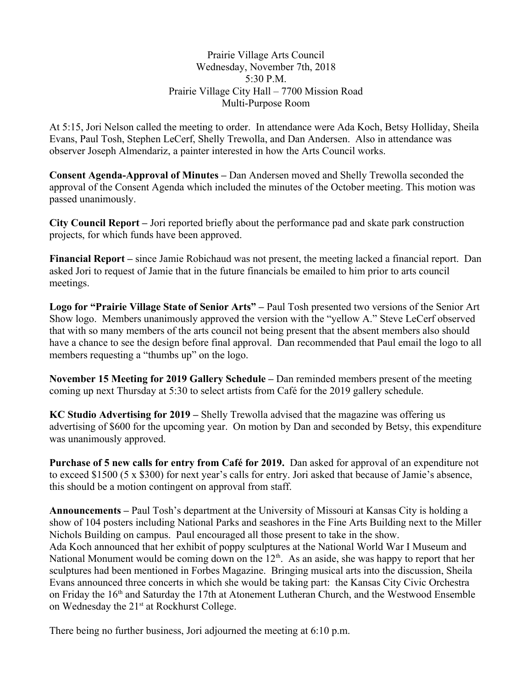Prairie Village Arts Council Wednesday, November 7th, 2018 5:30 P.M. Prairie Village City Hall - 7700 Mission Road Multi-Purpose Room

At 5:15, Jori Nelson called the meeting to order. In attendance were Ada Koch, Betsy Holliday, Sheila Evans, Paul Tosh, Stephen LeCerf, Shelly Trewolla, and Dan Andersen. Also in attendance was observer Joseph Almendariz, a painter interested in how the Arts Council works.

**Consent Agenda-Approval of Minutes – Dan Andersen moved and Shelly Trewolla seconded the** approval of the Consent Agenda which included the minutes of the October meeting. This motion was passed unanimously.

City Council Report – Jori reported briefly about the performance pad and skate park construction projects, for which funds have been approved.

**Financial Report** – since Jamie Robichaud was not present, the meeting lacked a financial report. Dan asked Jori to request of Jamie that in the future financials be emailed to him prior to arts council meetings.

Logo for "Prairie Village State of Senior Arts" – Paul Tosh presented two versions of the Senior Art Show logo. Members unanimously approved the version with the "yellow A." Steve LeCerf observed that with so many members of the arts council not being present that the absent members also should have a chance to see the design before final approval. Dan recommended that Paul email the logo to all members requesting a "thumbs up" on the logo.

November 15 Meeting for 2019 Gallery Schedule – Dan reminded members present of the meeting coming up next Thursday at 5:30 to select artists from Café for the 2019 gallery schedule.

KC Studio Advertising for 2019 – Shelly Trewolla advised that the magazine was offering us advertising of \$600 for the upcoming year. On motion by Dan and seconded by Betsy, this expenditure was unanimously approved.

Purchase of 5 new calls for entry from Café for 2019. Dan asked for approval of an expenditure not to exceed \$1500 (5 x \$300) for next year's calls for entry. Jori asked that because of Jamie's absence, this should be a motion contingent on approval from staff.

**Announcements** – Paul Tosh's department at the University of Missouri at Kansas City is holding a show of 104 posters including National Parks and seashores in the Fine Arts Building next to the Miller Nichols Building on campus. Paul encouraged all those present to take in the show. Ada Koch announced that her exhibit of poppy sculptures at the National World War I Museum and National Monument would be coming down on the 12<sup>th</sup>. As an aside, she was happy to report that her sculptures had been mentioned in Forbes Magazine. Bringing musical arts into the discussion, Sheila Evans announced three concerts in which she would be taking part: the Kansas City Civic Orchestra on Friday the 16<sup>th</sup> and Saturday the 17th at Atonement Lutheran Church, and the Westwood Ensemble on Wednesday the 21<sup>st</sup> at Rockhurst College.

There being no further business, Jori adjourned the meeting at 6:10 p.m.